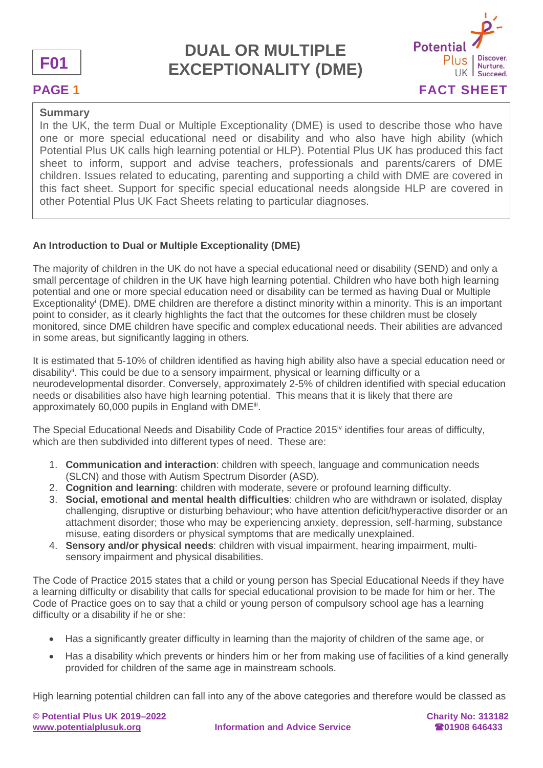



### **Summary**

In the UK, the term Dual or Multiple Exceptionality (DME) is used to describe those who have one or more special educational need or disability and who also have high ability (which Potential Plus UK calls high learning potential or HLP). Potential Plus UK has produced this fact sheet to inform, support and advise teachers, professionals and parents/carers of DME children. Issues related to educating, parenting and supporting a child with DME are covered in this fact sheet. Support for specific special educational needs alongside HLP are covered in other Potential Plus UK Fact Sheets relating to particular diagnoses.

### **An Introduction to Dual or Multiple Exceptionality (DME)**

The majority of children in the UK do not have a special educational need or disability (SEND) and only a small percentage of children in the UK have high learning potential. Children who have both high learning potential and one or more special education need or disability can be termed as having Dual or Multiple Exceptionality<sup>i</sup> (DME). DME children are therefore a distinct minority within a minority. This is an important point to consider, as it clearly highlights the fact that the outcomes for these children must be closely monitored, since DME children have specific and complex educational needs. Their abilities are advanced in some areas, but significantly lagging in others.

It is estimated that 5-10% of children identified as having high ability also have a special education need or disability<sup>ii</sup>. This could be due to a sensory impairment, physical or learning difficulty or a neurodevelopmental disorder. Conversely, approximately 2-5% of children identified with special education needs or disabilities also have high learning potential. This means that it is likely that there are approximately 60,000 pupils in England with DME<sup>ii</sup>.

The Special Educational Needs and Disability Code of Practice 2015 $\dot{v}$  identifies four areas of difficulty, which are then subdivided into different types of need. These are:

- 1. **Communication and interaction**: children with speech, language and communication needs (SLCN) and those with Autism Spectrum Disorder (ASD).
- 2. **Cognition and learning**: children with moderate, severe or profound learning difficulty.
- 3. **Social, emotional and mental health difficulties**: children who are withdrawn or isolated, display challenging, disruptive or disturbing behaviour; who have attention deficit/hyperactive disorder or an attachment disorder; those who may be experiencing anxiety, depression, self-harming, substance misuse, eating disorders or physical symptoms that are medically unexplained.
- 4. **Sensory and/or physical needs**: children with visual impairment, hearing impairment, multisensory impairment and physical disabilities.

The Code of Practice 2015 states that a child or young person has Special Educational Needs if they have a learning difficulty or disability that calls for special educational provision to be made for him or her. The Code of Practice goes on to say that a child or young person of compulsory school age has a learning difficulty or a disability if he or she:

- Has a significantly greater difficulty in learning than the majority of children of the same age, or
- Has a disability which prevents or hinders him or her from making use of facilities of a kind generally provided for children of the same age in mainstream schools.

High learning potential children can fall into any of the above categories and therefore would be classed as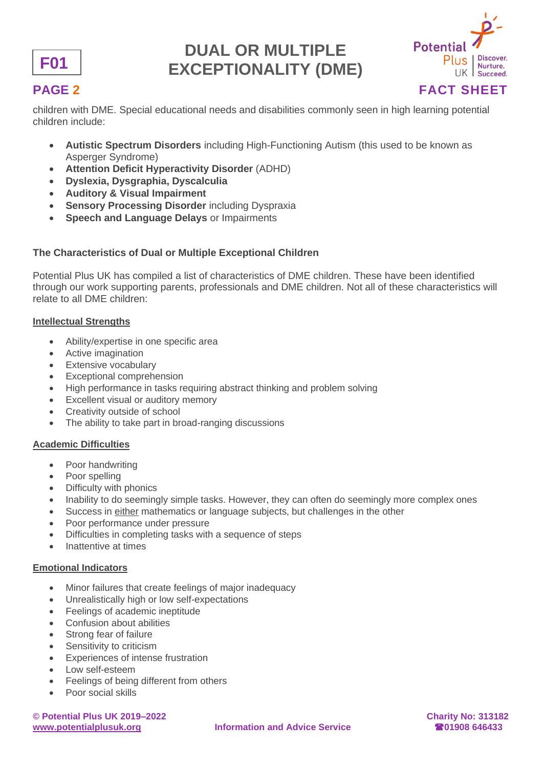



children with DME. Special educational needs and disabilities commonly seen in high learning potential children include:

- **Autistic Spectrum Disorders** including High-Functioning Autism (this used to be known as Asperger Syndrome)
- **Attention Deficit Hyperactivity Disorder** (ADHD)
- **Dyslexia, Dysgraphia, Dyscalculia**
- **Auditory & Visual Impairment**
- **Sensory Processing Disorder** including Dyspraxia
- **Speech and Language Delays** or Impairments

## **The Characteristics of Dual or Multiple Exceptional Children**

Potential Plus UK has compiled a list of characteristics of DME children. These have been identified through our work supporting parents, professionals and DME children. Not all of these characteristics will relate to all DME children:

#### **Intellectual Strengths**

- Ability/expertise in one specific area
- Active imagination
- Extensive vocabulary
- Exceptional comprehension
- High performance in tasks requiring abstract thinking and problem solving
- **Excellent visual or auditory memory**
- Creativity outside of school
- The ability to take part in broad-ranging discussions

### **Academic Difficulties**

- Poor handwriting
- Poor spelling
- Difficulty with phonics
- Inability to do seemingly simple tasks. However, they can often do seemingly more complex ones
- Success in either mathematics or language subjects, but challenges in the other
- Poor performance under pressure
- Difficulties in completing tasks with a sequence of steps
- Inattentive at times

#### **Emotional Indicators**

- Minor failures that create feelings of major inadequacy
- Unrealistically high or low self-expectations
- Feelings of academic ineptitude
- Confusion about abilities
- Strong fear of failure
- Sensitivity to criticism
- **Experiences of intense frustration**
- Low self-esteem
- Feelings of being different from others
- Poor social skills

**© Potential Plus UK 2019–2022 Charity No: 313182**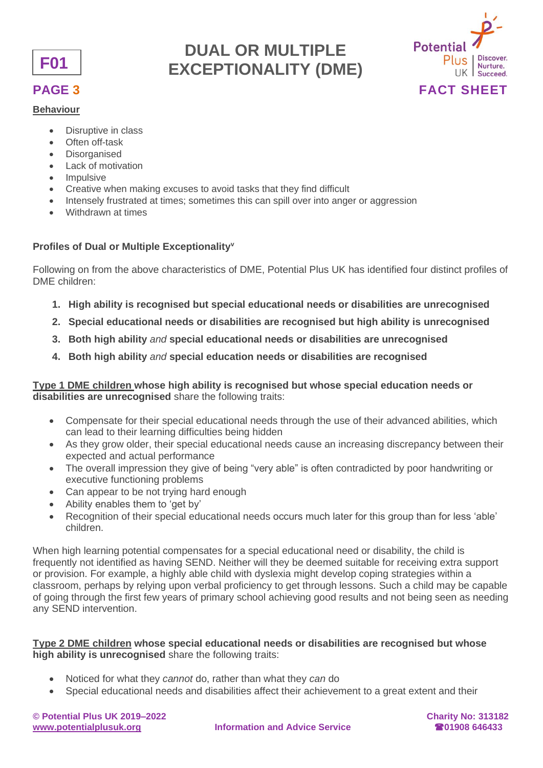

#### **Behaviour**

- Disruptive in class
- Often off-task
- **Disorganised**
- Lack of motivation
- Impulsive
- Creative when making excuses to avoid tasks that they find difficult
- Intensely frustrated at times: sometimes this can spill over into anger or aggression
- Withdrawn at times

### **Profiles of Dual or Multiple Exceptionality<sup>v</sup>**

Following on from the above characteristics of DME, Potential Plus UK has identified four distinct profiles of DME children:

**DUAL OR MULTIPLE** 

- **1. High ability is recognised but special educational needs or disabilities are unrecognised**
- **2. Special educational needs or disabilities are recognised but high ability is unrecognised**
- **3. Both high ability** *and* **special educational needs or disabilities are unrecognised**
- **4. Both high ability** *and* **special education needs or disabilities are recognised**

**Type 1 DME children whose high ability is recognised but whose special education needs or disabilities are unrecognised** share the following traits:

- Compensate for their special educational needs through the use of their advanced abilities, which can lead to their learning difficulties being hidden
- As they grow older, their special educational needs cause an increasing discrepancy between their expected and actual performance
- The overall impression they give of being "very able" is often contradicted by poor handwriting or executive functioning problems
- Can appear to be not trying hard enough
- Ability enables them to 'get by'
- Recognition of their special educational needs occurs much later for this group than for less 'able' children.

When high learning potential compensates for a special educational need or disability, the child is frequently not identified as having SEND. Neither will they be deemed suitable for receiving extra support or provision. For example, a highly able child with dyslexia might develop coping strategies within a classroom, perhaps by relying upon verbal proficiency to get through lessons. Such a child may be capable of going through the first few years of primary school achieving good results and not being seen as needing any SEND intervention.

### **Type 2 DME children whose special educational needs or disabilities are recognised but whose high ability is unrecognised** share the following traits:

- Noticed for what they *cannot* do, rather than what they *can* do
- Special educational needs and disabilities affect their achievement to a great extent and their

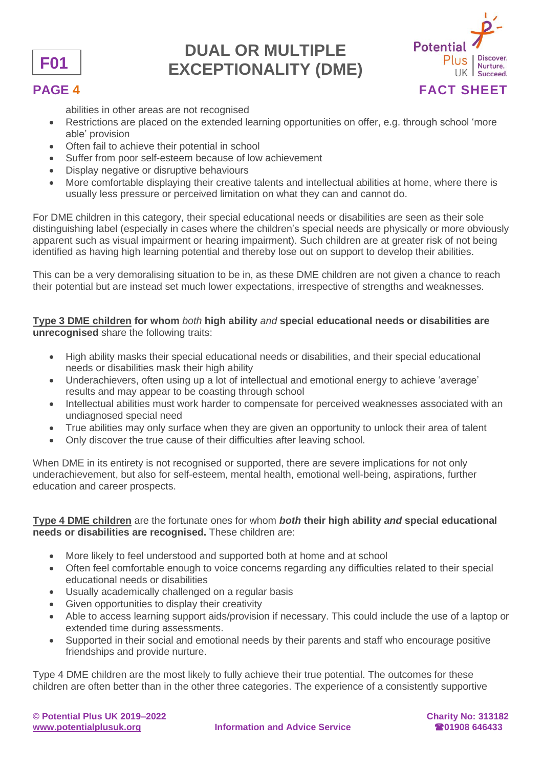



abilities in other areas are not recognised

- Restrictions are placed on the extended learning opportunities on offer, e.g. through school 'more able' provision
- Often fail to achieve their potential in school
- Suffer from poor self-esteem because of low achievement
- Display negative or disruptive behaviours
- More comfortable displaying their creative talents and intellectual abilities at home, where there is usually less pressure or perceived limitation on what they can and cannot do.

For DME children in this category, their special educational needs or disabilities are seen as their sole distinguishing label (especially in cases where the children's special needs are physically or more obviously apparent such as visual impairment or hearing impairment). Such children are at greater risk of not being identified as having high learning potential and thereby lose out on support to develop their abilities.

This can be a very demoralising situation to be in, as these DME children are not given a chance to reach their potential but are instead set much lower expectations, irrespective of strengths and weaknesses.

### **Type 3 DME children for whom** *both* **high ability** *and* **special educational needs or disabilities are unrecognised** share the following traits:

- High ability masks their special educational needs or disabilities, and their special educational needs or disabilities mask their high ability
- Underachievers, often using up a lot of intellectual and emotional energy to achieve 'average' results and may appear to be coasting through school
- Intellectual abilities must work harder to compensate for perceived weaknesses associated with an undiagnosed special need
- True abilities may only surface when they are given an opportunity to unlock their area of talent
- Only discover the true cause of their difficulties after leaving school.

When DME in its entirety is not recognised or supported, there are severe implications for not only underachievement, but also for self-esteem, mental health, emotional well-being, aspirations, further education and career prospects.

### **Type 4 DME children** are the fortunate ones for whom *both* **their high ability** *and* **special educational needs or disabilities are recognised.** These children are:

- More likely to feel understood and supported both at home and at school
- Often feel comfortable enough to voice concerns regarding any difficulties related to their special educational needs or disabilities
- Usually academically challenged on a regular basis
- Given opportunities to display their creativity
- Able to access learning support aids/provision if necessary. This could include the use of a laptop or extended time during assessments.
- Supported in their social and emotional needs by their parents and staff who encourage positive friendships and provide nurture.

Type 4 DME children are the most likely to fully achieve their true potential. The outcomes for these children are often better than in the other three categories. The experience of a consistently supportive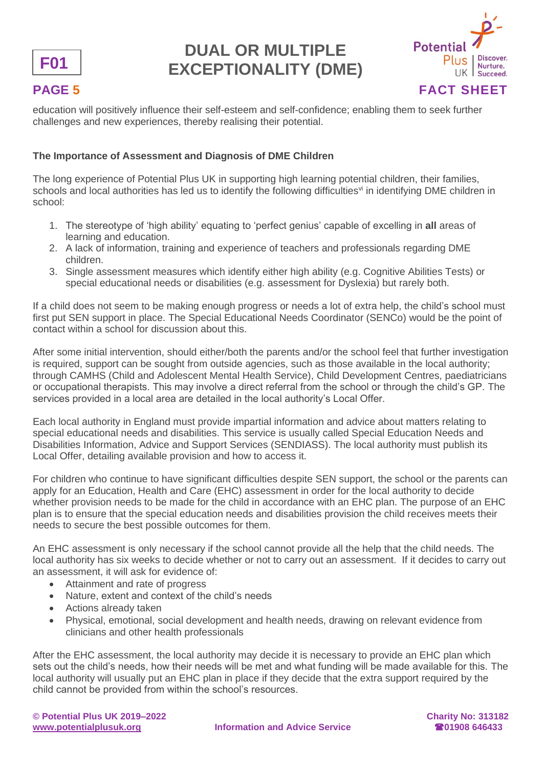



education will positively influence their self-esteem and self-confidence; enabling them to seek further challenges and new experiences, thereby realising their potential.

### **The Importance of Assessment and Diagnosis of DME Children**

The long experience of Potential Plus UK in supporting high learning potential children, their families, schools and local authorities has led us to identify the following difficulties<sup>vi</sup> in identifying DME children in school:

- 1. The stereotype of 'high ability' equating to 'perfect genius' capable of excelling in **all** areas of learning and education.
- 2. A lack of information, training and experience of teachers and professionals regarding DME children.
- 3. Single assessment measures which identify either high ability (e.g. Cognitive Abilities Tests) or special educational needs or disabilities (e.g. assessment for Dyslexia) but rarely both.

If a child does not seem to be making enough progress or needs a lot of extra help, the child's school must first put SEN support in place. The Special Educational Needs Coordinator (SENCo) would be the point of contact within a school for discussion about this.

After some initial intervention, should either/both the parents and/or the school feel that further investigation is required, support can be sought from outside agencies, such as those available in the local authority; through CAMHS (Child and Adolescent Mental Health Service), Child Development Centres, paediatricians or occupational therapists. This may involve a direct referral from the school or through the child's GP. The services provided in a local area are detailed in the local authority's Local Offer.

Each local authority in England must provide impartial information and advice about matters relating to special educational needs and disabilities. This service is usually called Special Education Needs and Disabilities Information, Advice and Support Services (SENDIASS). The local authority must publish its Local Offer, detailing available provision and how to access it.

For children who continue to have significant difficulties despite SEN support, the school or the parents can apply for an Education, Health and Care (EHC) assessment in order for the local authority to decide whether provision needs to be made for the child in accordance with an EHC plan. The purpose of an EHC plan is to ensure that the special education needs and disabilities provision the child receives meets their needs to secure the best possible outcomes for them.

An EHC assessment is only necessary if the school cannot provide all the help that the child needs. The local authority has six weeks to decide whether or not to carry out an assessment. If it decides to carry out an assessment, it will ask for evidence of:

- Attainment and rate of progress
- Nature, extent and context of the child's needs
- Actions already taken
- Physical, emotional, social development and health needs, drawing on relevant evidence from clinicians and other health professionals

After the EHC assessment, the local authority may decide it is necessary to provide an EHC plan which sets out the child's needs, how their needs will be met and what funding will be made available for this. The local authority will usually put an EHC plan in place if they decide that the extra support required by the child cannot be provided from within the school's resources.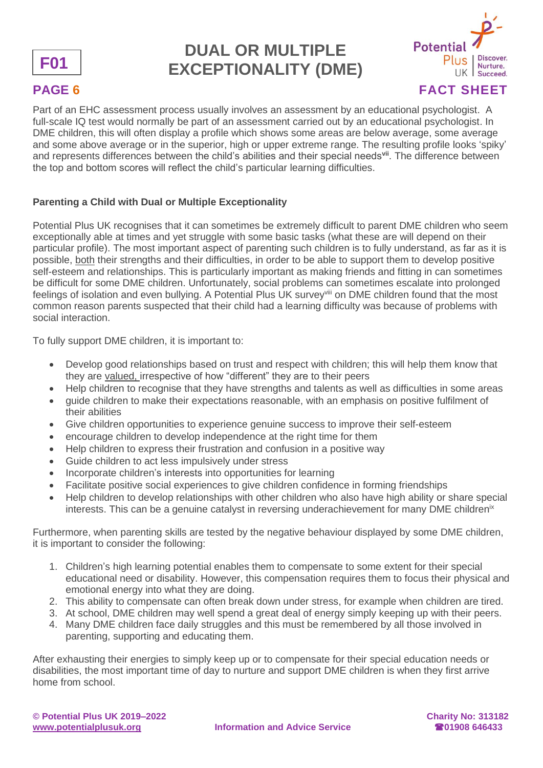



Part of an EHC assessment process usually involves an assessment by an educational psychologist. A full-scale IQ test would normally be part of an assessment carried out by an educational psychologist. In DME children, this will often display a profile which shows some areas are below average, some average and some above average or in the superior, high or upper extreme range. The resulting profile looks 'spiky' and represents differences between the child's abilities and their special needs**vii** . The difference between the top and bottom scores will reflect the child's particular learning difficulties.

## **Parenting a Child with Dual or Multiple Exceptionality**

Potential Plus UK recognises that it can sometimes be extremely difficult to parent DME children who seem exceptionally able at times and yet struggle with some basic tasks (what these are will depend on their particular profile). The most important aspect of parenting such children is to fully understand, as far as it is possible, both their strengths and their difficulties, in order to be able to support them to develop positive self-esteem and relationships. This is particularly important as making friends and fitting in can sometimes be difficult for some DME children. Unfortunately, social problems can sometimes escalate into prolonged feelings of isolation and even bullying. A Potential Plus UK survey<sup>viii</sup> on DME children found that the most common reason parents suspected that their child had a learning difficulty was because of problems with social interaction.

To fully support DME children, it is important to:

- Develop good relationships based on trust and respect with children; this will help them know that they are valued, irrespective of how "different" they are to their peers
- Help children to recognise that they have strengths and talents as well as difficulties in some areas
- guide children to make their expectations reasonable, with an emphasis on positive fulfilment of their abilities
- Give children opportunities to experience genuine success to improve their self-esteem
- encourage children to develop independence at the right time for them
- Help children to express their frustration and confusion in a positive way
- Guide children to act less impulsively under stress
- Incorporate children's interests into opportunities for learning
- Facilitate positive social experiences to give children confidence in forming friendships
- Help children to develop relationships with other children who also have high ability or share special interests. This can be a genuine catalyst in reversing underachievement for many DME children<sup>ix</sup>

Furthermore, when parenting skills are tested by the negative behaviour displayed by some DME children, it is important to consider the following:

- 1. Children's high learning potential enables them to compensate to some extent for their special educational need or disability. However, this compensation requires them to focus their physical and emotional energy into what they are doing.
- 2. This ability to compensate can often break down under stress, for example when children are tired.
- 3. At school, DME children may well spend a great deal of energy simply keeping up with their peers.
- 4. Many DME children face daily struggles and this must be remembered by all those involved in parenting, supporting and educating them.

After exhausting their energies to simply keep up or to compensate for their special education needs or disabilities, the most important time of day to nurture and support DME children is when they first arrive home from school.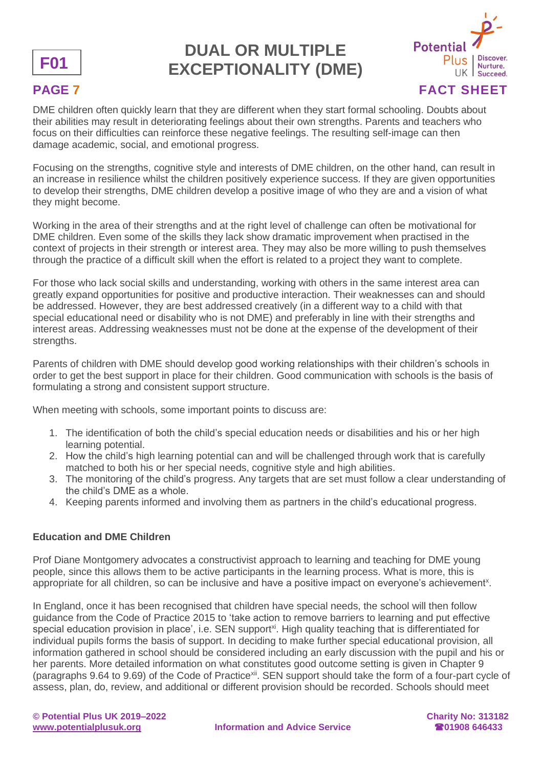



DME children often quickly learn that they are different when they start formal schooling. Doubts about their abilities may result in deteriorating feelings about their own strengths. Parents and teachers who focus on their difficulties can reinforce these negative feelings. The resulting self-image can then damage academic, social, and emotional progress.

Focusing on the strengths, cognitive style and interests of DME children, on the other hand, can result in an increase in resilience whilst the children positively experience success. If they are given opportunities to develop their strengths, DME children develop a positive image of who they are and a vision of what they might become.

Working in the area of their strengths and at the right level of challenge can often be motivational for DME children. Even some of the skills they lack show dramatic improvement when practised in the context of projects in their strength or interest area. They may also be more willing to push themselves through the practice of a difficult skill when the effort is related to a project they want to complete.

For those who lack social skills and understanding, working with others in the same interest area can greatly expand opportunities for positive and productive interaction. Their weaknesses can and should be addressed. However, they are best addressed creatively (in a different way to a child with that special educational need or disability who is not DME) and preferably in line with their strengths and interest areas. Addressing weaknesses must not be done at the expense of the development of their strengths.

Parents of children with DME should develop good working relationships with their children's schools in order to get the best support in place for their children. Good communication with schools is the basis of formulating a strong and consistent support structure.

When meeting with schools, some important points to discuss are:

- 1. The identification of both the child's special education needs or disabilities and his or her high learning potential.
- 2. How the child's high learning potential can and will be challenged through work that is carefully matched to both his or her special needs, cognitive style and high abilities.
- 3. The monitoring of the child's progress. Any targets that are set must follow a clear understanding of the child's DME as a whole.
- 4. Keeping parents informed and involving them as partners in the child's educational progress.

### **Education and DME Children**

Prof Diane Montgomery advocates a constructivist approach to learning and teaching for DME young people, since this allows them to be active participants in the learning process. What is more, this is appropriate for all children, so can be inclusive and have a positive impact on everyone's achievement<sup>x</sup>.

In England, once it has been recognised that children have special needs, the school will then follow guidance from the Code of Practice 2015 to 'take action to remove barriers to learning and put effective special education provision in place', i.e. SEN support<sup>xi</sup>. High quality teaching that is differentiated for individual pupils forms the basis of support. In deciding to make further special educational provision, all information gathered in school should be considered including an early discussion with the pupil and his or her parents. More detailed information on what constitutes good outcome setting is given in Chapter 9 (paragraphs 9.64 to 9.69) of the Code of Practice<sup>xii</sup>. SEN support should take the form of a four-part cycle of assess, plan, do, review, and additional or different provision should be recorded. Schools should meet